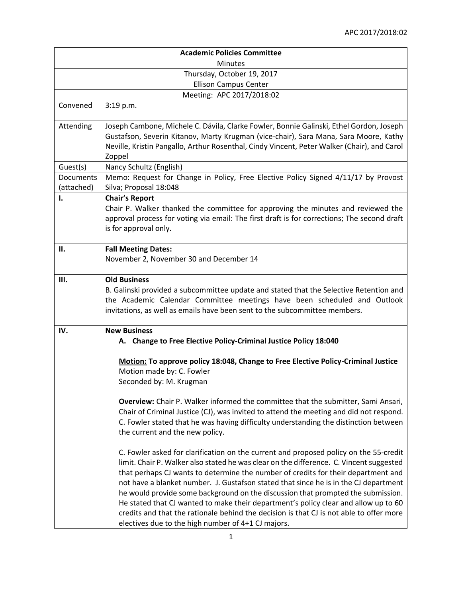|                              | <b>Academic Policies Committee</b>                                                                                                                                                                                                                                                                                                                                                                                                                                                                                                                                                                                                                                                        |
|------------------------------|-------------------------------------------------------------------------------------------------------------------------------------------------------------------------------------------------------------------------------------------------------------------------------------------------------------------------------------------------------------------------------------------------------------------------------------------------------------------------------------------------------------------------------------------------------------------------------------------------------------------------------------------------------------------------------------------|
| <b>Minutes</b>               |                                                                                                                                                                                                                                                                                                                                                                                                                                                                                                                                                                                                                                                                                           |
| Thursday, October 19, 2017   |                                                                                                                                                                                                                                                                                                                                                                                                                                                                                                                                                                                                                                                                                           |
| <b>Ellison Campus Center</b> |                                                                                                                                                                                                                                                                                                                                                                                                                                                                                                                                                                                                                                                                                           |
| Meeting: APC 2017/2018:02    |                                                                                                                                                                                                                                                                                                                                                                                                                                                                                                                                                                                                                                                                                           |
| Convened                     | 3:19 p.m.                                                                                                                                                                                                                                                                                                                                                                                                                                                                                                                                                                                                                                                                                 |
| Attending                    | Joseph Cambone, Michele C. Dávila, Clarke Fowler, Bonnie Galinski, Ethel Gordon, Joseph<br>Gustafson, Severin Kitanov, Marty Krugman (vice-chair), Sara Mana, Sara Moore, Kathy<br>Neville, Kristin Pangallo, Arthur Rosenthal, Cindy Vincent, Peter Walker (Chair), and Carol<br>Zoppel                                                                                                                                                                                                                                                                                                                                                                                                  |
| Guest(s)                     | Nancy Schultz (English)                                                                                                                                                                                                                                                                                                                                                                                                                                                                                                                                                                                                                                                                   |
| Documents<br>(attached)      | Memo: Request for Change in Policy, Free Elective Policy Signed 4/11/17 by Provost<br>Silva; Proposal 18:048                                                                                                                                                                                                                                                                                                                                                                                                                                                                                                                                                                              |
| 1.                           | <b>Chair's Report</b><br>Chair P. Walker thanked the committee for approving the minutes and reviewed the<br>approval process for voting via email: The first draft is for corrections; The second draft<br>is for approval only.                                                                                                                                                                                                                                                                                                                                                                                                                                                         |
| П.                           | <b>Fall Meeting Dates:</b><br>November 2, November 30 and December 14                                                                                                                                                                                                                                                                                                                                                                                                                                                                                                                                                                                                                     |
| Ш.                           | <b>Old Business</b><br>B. Galinski provided a subcommittee update and stated that the Selective Retention and<br>the Academic Calendar Committee meetings have been scheduled and Outlook<br>invitations, as well as emails have been sent to the subcommittee members.                                                                                                                                                                                                                                                                                                                                                                                                                   |
| IV.                          | <b>New Business</b><br>A. Change to Free Elective Policy-Criminal Justice Policy 18:040                                                                                                                                                                                                                                                                                                                                                                                                                                                                                                                                                                                                   |
|                              | Motion: To approve policy 18:048, Change to Free Elective Policy-Criminal Justice<br>Motion made by: C. Fowler<br>Seconded by: M. Krugman<br>Overview: Chair P. Walker informed the committee that the submitter, Sami Ansari,                                                                                                                                                                                                                                                                                                                                                                                                                                                            |
|                              | Chair of Criminal Justice (CJ), was invited to attend the meeting and did not respond.<br>C. Fowler stated that he was having difficulty understanding the distinction between<br>the current and the new policy.                                                                                                                                                                                                                                                                                                                                                                                                                                                                         |
|                              | C. Fowler asked for clarification on the current and proposed policy on the 55-credit<br>limit. Chair P. Walker also stated he was clear on the difference. C. Vincent suggested<br>that perhaps CJ wants to determine the number of credits for their department and<br>not have a blanket number. J. Gustafson stated that since he is in the CJ department<br>he would provide some background on the discussion that prompted the submission.<br>He stated that CJ wanted to make their department's policy clear and allow up to 60<br>credits and that the rationale behind the decision is that CJ is not able to offer more<br>electives due to the high number of 4+1 CJ majors. |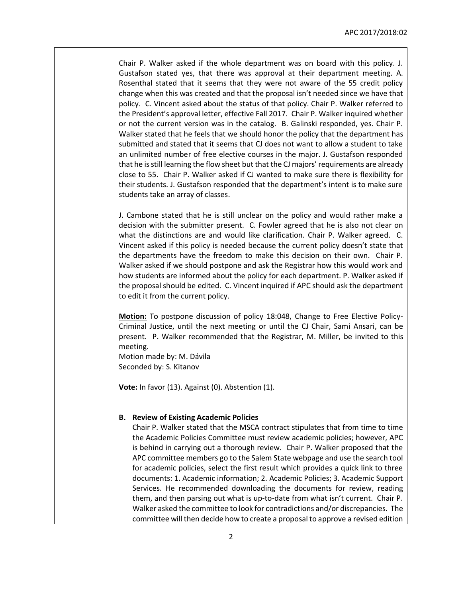Chair P. Walker asked if the whole department was on board with this policy. J. Gustafson stated yes, that there was approval at their department meeting. A. Rosenthal stated that it seems that they were not aware of the 55 credit policy change when this was created and that the proposal isn't needed since we have that policy. C. Vincent asked about the status of that policy. Chair P. Walker referred to the President's approval letter, effective Fall 2017. Chair P. Walker inquired whether or not the current version was in the catalog. B. Galinski responded, yes. Chair P. Walker stated that he feels that we should honor the policy that the department has submitted and stated that it seems that CJ does not want to allow a student to take an unlimited number of free elective courses in the major. J. Gustafson responded that he is still learning the flow sheet but that the CJ majors' requirements are already close to 55. Chair P. Walker asked if CJ wanted to make sure there is flexibility for their students. J. Gustafson responded that the department's intent is to make sure students take an array of classes.

J. Cambone stated that he is still unclear on the policy and would rather make a decision with the submitter present. C. Fowler agreed that he is also not clear on what the distinctions are and would like clarification. Chair P. Walker agreed. C. Vincent asked if this policy is needed because the current policy doesn't state that the departments have the freedom to make this decision on their own. Chair P. Walker asked if we should postpone and ask the Registrar how this would work and how students are informed about the policy for each department. P. Walker asked if the proposal should be edited. C. Vincent inquired if APC should ask the department to edit it from the current policy.

**Motion:** To postpone discussion of policy 18:048, Change to Free Elective Policy-Criminal Justice, until the next meeting or until the CJ Chair, Sami Ansari, can be present. P. Walker recommended that the Registrar, M. Miller, be invited to this meeting.

Motion made by: M. Dávila Seconded by: S. Kitanov

**Vote:** In favor (13). Against (0). Abstention (1).

## **B. Review of Existing Academic Policies**

Chair P. Walker stated that the MSCA contract stipulates that from time to time the Academic Policies Committee must review academic policies; however, APC is behind in carrying out a thorough review. Chair P. Walker proposed that the APC committee members go to the Salem State webpage and use the search tool for academic policies, select the first result which provides a quick link to three documents: 1. Academic information; 2. Academic Policies; 3. Academic Support Services. He recommended downloading the documents for review, reading them, and then parsing out what is up-to-date from what isn't current. Chair P. Walker asked the committee to look for contradictions and/or discrepancies. The committee will then decide how to create a proposal to approve a revised edition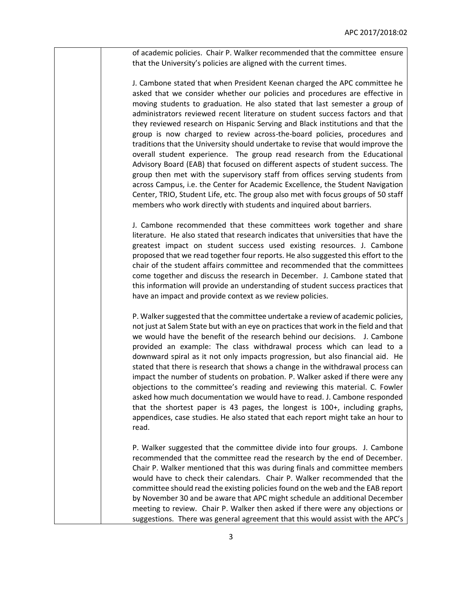of academic policies. Chair P. Walker recommended that the committee ensure that the University's policies are aligned with the current times.

J. Cambone stated that when President Keenan charged the APC committee he asked that we consider whether our policies and procedures are effective in moving students to graduation. He also stated that last semester a group of administrators reviewed recent literature on student success factors and that they reviewed research on Hispanic Serving and Black institutions and that the group is now charged to review across-the-board policies, procedures and traditions that the University should undertake to revise that would improve the overall student experience. The group read research from the Educational Advisory Board (EAB) that focused on different aspects of student success. The group then met with the supervisory staff from offices serving students from across Campus, i.e. the Center for Academic Excellence, the Student Navigation Center, TRIO, Student Life, etc. The group also met with focus groups of 50 staff members who work directly with students and inquired about barriers.

J. Cambone recommended that these committees work together and share literature. He also stated that research indicates that universities that have the greatest impact on student success used existing resources. J. Cambone proposed that we read together four reports. He also suggested this effort to the chair of the student affairs committee and recommended that the committees come together and discuss the research in December. J. Cambone stated that this information will provide an understanding of student success practices that have an impact and provide context as we review policies.

P. Walker suggested that the committee undertake a review of academic policies, not just at Salem State but with an eye on practices that work in the field and that we would have the benefit of the research behind our decisions. J. Cambone provided an example: The class withdrawal process which can lead to a downward spiral as it not only impacts progression, but also financial aid. He stated that there is research that shows a change in the withdrawal process can impact the number of students on probation. P. Walker asked if there were any objections to the committee's reading and reviewing this material. C. Fowler asked how much documentation we would have to read. J. Cambone responded that the shortest paper is 43 pages, the longest is 100+, including graphs, appendices, case studies. He also stated that each report might take an hour to read.

P. Walker suggested that the committee divide into four groups. J. Cambone recommended that the committee read the research by the end of December. Chair P. Walker mentioned that this was during finals and committee members would have to check their calendars. Chair P. Walker recommended that the committee should read the existing policies found on the web and the EAB report by November 30 and be aware that APC might schedule an additional December meeting to review. Chair P. Walker then asked if there were any objections or suggestions. There was general agreement that this would assist with the APC's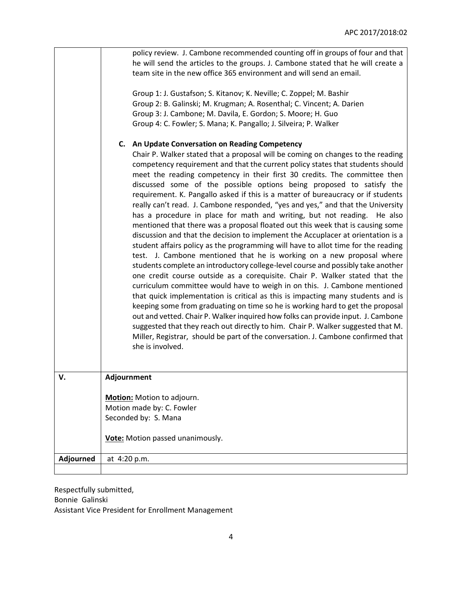|           | policy review. J. Cambone recommended counting off in groups of four and that<br>he will send the articles to the groups. J. Cambone stated that he will create a<br>team site in the new office 365 environment and will send an email.<br>Group 1: J. Gustafson; S. Kitanov; K. Neville; C. Zoppel; M. Bashir<br>Group 2: B. Galinski; M. Krugman; A. Rosenthal; C. Vincent; A. Darien<br>Group 3: J. Cambone; M. Davila, E. Gordon; S. Moore; H. Guo<br>Group 4: C. Fowler; S. Mana; K. Pangallo; J. Silveira; P. Walker<br>C. An Update Conversation on Reading Competency<br>Chair P. Walker stated that a proposal will be coming on changes to the reading<br>competency requirement and that the current policy states that students should<br>meet the reading competency in their first 30 credits. The committee then                                                                                                                                                                                                                                                                                                                                                                                                                                                                                                                                |
|-----------|-----------------------------------------------------------------------------------------------------------------------------------------------------------------------------------------------------------------------------------------------------------------------------------------------------------------------------------------------------------------------------------------------------------------------------------------------------------------------------------------------------------------------------------------------------------------------------------------------------------------------------------------------------------------------------------------------------------------------------------------------------------------------------------------------------------------------------------------------------------------------------------------------------------------------------------------------------------------------------------------------------------------------------------------------------------------------------------------------------------------------------------------------------------------------------------------------------------------------------------------------------------------------------------------------------------------------------------------------------------------|
|           | discussed some of the possible options being proposed to satisfy the<br>requirement. K. Pangallo asked if this is a matter of bureaucracy or if students<br>really can't read. J. Cambone responded, "yes and yes," and that the University<br>has a procedure in place for math and writing, but not reading. He also<br>mentioned that there was a proposal floated out this week that is causing some<br>discussion and that the decision to implement the Accuplacer at orientation is a<br>student affairs policy as the programming will have to allot time for the reading<br>test. J. Cambone mentioned that he is working on a new proposal where<br>students complete an introductory college-level course and possibly take another<br>one credit course outside as a corequisite. Chair P. Walker stated that the<br>curriculum committee would have to weigh in on this. J. Cambone mentioned<br>that quick implementation is critical as this is impacting many students and is<br>keeping some from graduating on time so he is working hard to get the proposal<br>out and vetted. Chair P. Walker inquired how folks can provide input. J. Cambone<br>suggested that they reach out directly to him. Chair P. Walker suggested that M.<br>Miller, Registrar, should be part of the conversation. J. Cambone confirmed that<br>she is involved. |
| v.        | Adjournment                                                                                                                                                                                                                                                                                                                                                                                                                                                                                                                                                                                                                                                                                                                                                                                                                                                                                                                                                                                                                                                                                                                                                                                                                                                                                                                                                     |
|           | Motion: Motion to adjourn.                                                                                                                                                                                                                                                                                                                                                                                                                                                                                                                                                                                                                                                                                                                                                                                                                                                                                                                                                                                                                                                                                                                                                                                                                                                                                                                                      |
|           | Motion made by: C. Fowler                                                                                                                                                                                                                                                                                                                                                                                                                                                                                                                                                                                                                                                                                                                                                                                                                                                                                                                                                                                                                                                                                                                                                                                                                                                                                                                                       |
|           | Seconded by: S. Mana                                                                                                                                                                                                                                                                                                                                                                                                                                                                                                                                                                                                                                                                                                                                                                                                                                                                                                                                                                                                                                                                                                                                                                                                                                                                                                                                            |
|           | Vote: Motion passed unanimously.                                                                                                                                                                                                                                                                                                                                                                                                                                                                                                                                                                                                                                                                                                                                                                                                                                                                                                                                                                                                                                                                                                                                                                                                                                                                                                                                |
| Adjourned | at 4:20 p.m.                                                                                                                                                                                                                                                                                                                                                                                                                                                                                                                                                                                                                                                                                                                                                                                                                                                                                                                                                                                                                                                                                                                                                                                                                                                                                                                                                    |
|           |                                                                                                                                                                                                                                                                                                                                                                                                                                                                                                                                                                                                                                                                                                                                                                                                                                                                                                                                                                                                                                                                                                                                                                                                                                                                                                                                                                 |

Respectfully submitted, Bonnie Galinski Assistant Vice President for Enrollment Management